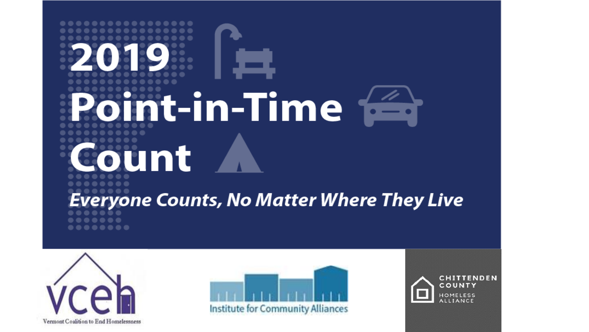# nt-in-Time <del>is</del> unt reryone Counts, No Matter Where They Live





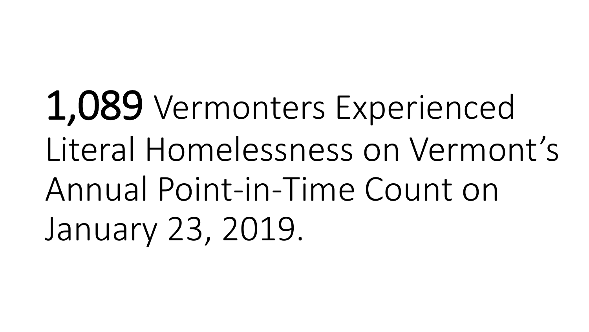1,089 Vermonters Experienced Literal Homelessness on Vermont's Annual Point-in-Time Count on January 23, 2019.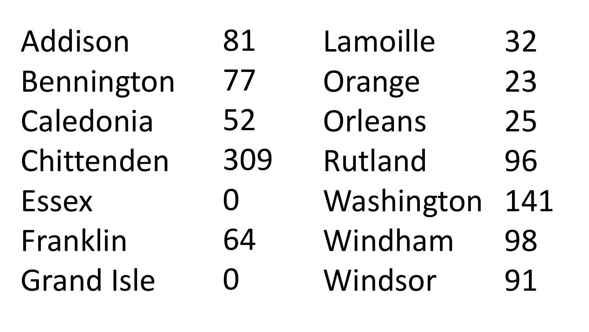| Addison           | 81       | Lamoille   | 32  |
|-------------------|----------|------------|-----|
| Bennington        | 77       | Orange     | 23  |
| Caledonia         | 52       | Orleans    | 25  |
| Chittenden        | 309      | Rutland    | 96  |
| <b>Essex</b>      | $\Omega$ | Washington | 141 |
| Franklin          | 64       | Windham    | 98  |
| <b>Grand Isle</b> | $\Omega$ | Windsor    | 91  |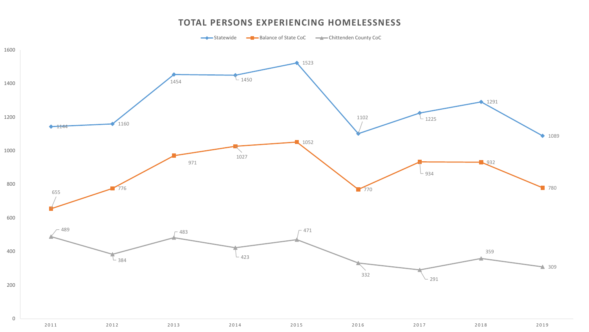#### **TOTAL PERSONS EXPERIENCING HOMELESSNESS**

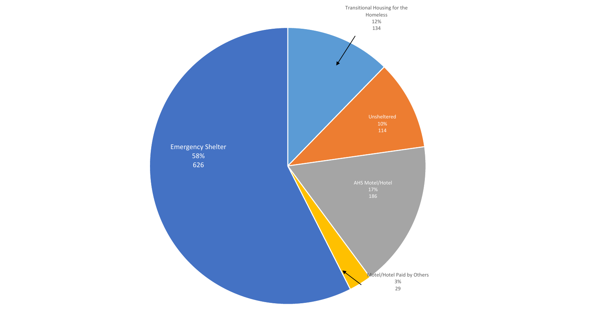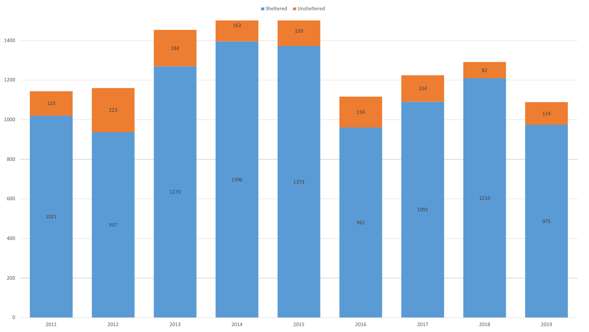Sheltered Unsheltered

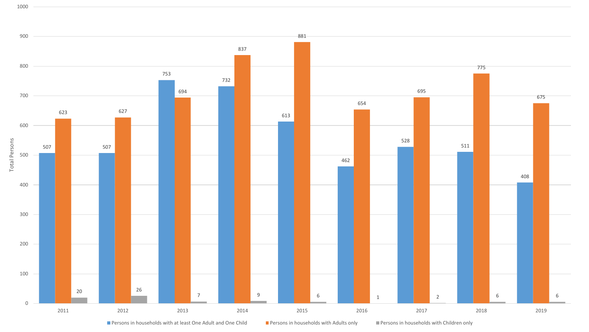



■ Persons in households with at least One Adult and One Child ■ Persons in households with Adults only ■ Persons in households with Children only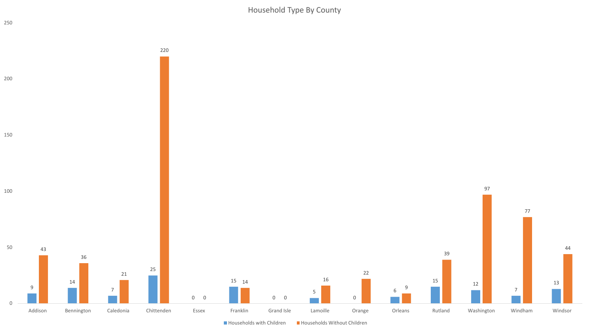Household Type By County

![](_page_7_Figure_1.jpeg)

![](_page_7_Figure_2.jpeg)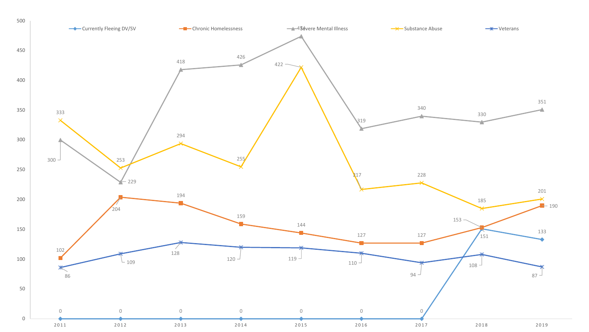![](_page_8_Figure_0.jpeg)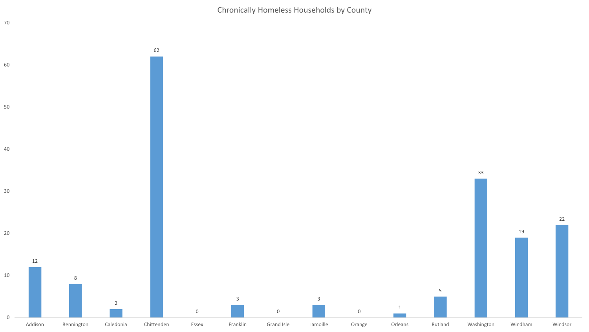Chronically Homeless Households by County

![](_page_9_Figure_1.jpeg)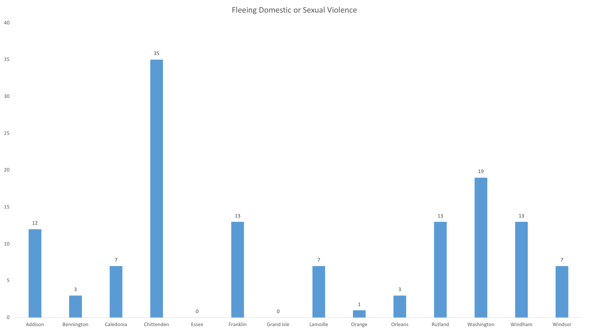Fleeing Domestic or Sexual Violence

![](_page_10_Figure_1.jpeg)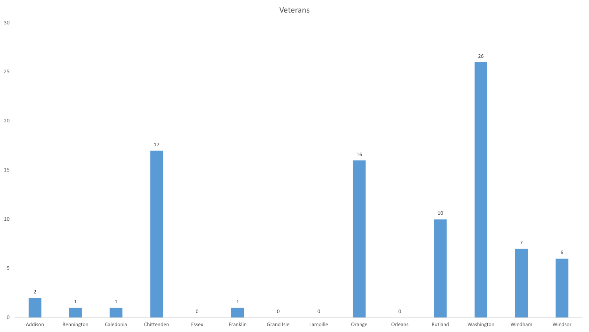Veterans

![](_page_11_Figure_1.jpeg)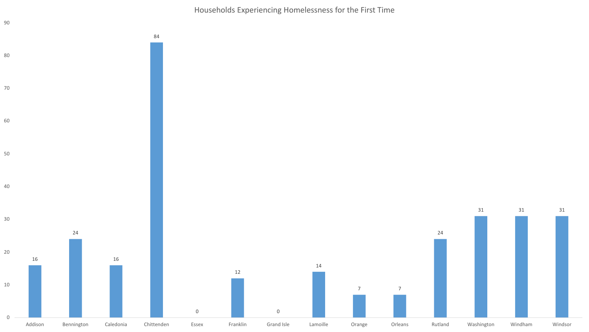Households Experiencing Homelessness for the First Time

![](_page_12_Figure_1.jpeg)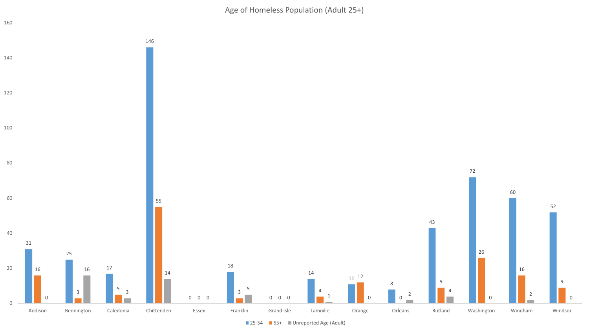Age of Homeless Population (Adult 25+)

![](_page_13_Figure_1.jpeg)

■ 25-54 ■ 55+ ■ Unreported Age (Adult)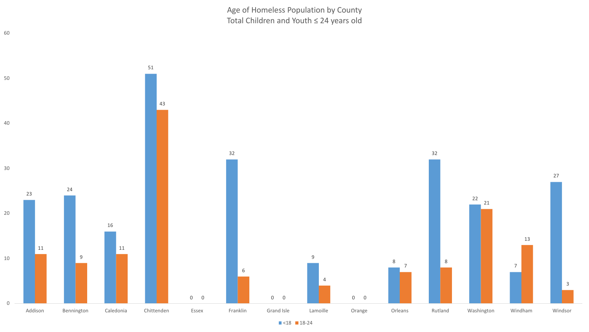Age of Homeless Population by County Total Children and Youth ≤ 24 years old

![](_page_14_Figure_1.jpeg)

 $\blacksquare$  <18  $\blacksquare$  18-24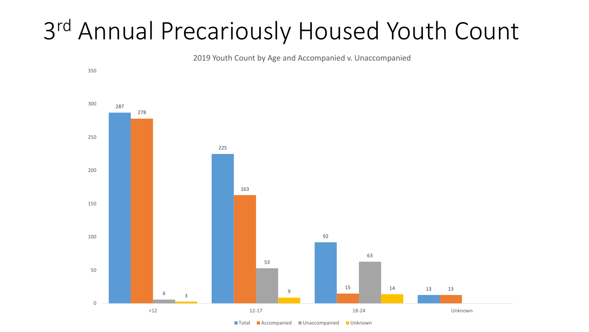## rd Annual Precariously Housed Youth Count

2019 Youth Count by Age and Accompanied v. Unaccompanied

![](_page_15_Figure_2.jpeg)

<sup>■</sup> Total ■ Accompanied ■ Unaccompanied ■ Unknown